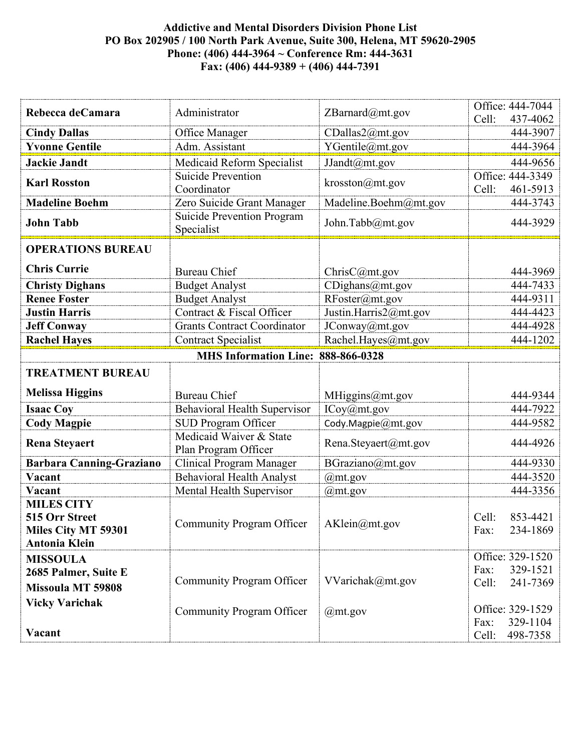## **Addictive and Mental Disorders Division Phone List PO Box 202905 / 100 North Park Avenue, Suite 300, Helena, MT 59620-2905 Phone: (406) 444-3964 ~ Conference Rm: 444-3631 Fax: (406) 444-9389 + (406) 444-7391**

| Rebecca deCamara                            | Administrator                                   | ZBarnard@mt.gov          | Office: 444-7044<br>Cell:<br>437-4062 |
|---------------------------------------------|-------------------------------------------------|--------------------------|---------------------------------------|
| <b>Cindy Dallas</b>                         | Office Manager                                  | CDallas2@mt.gov          | 444-3907                              |
| <b>Yvonne Gentile</b>                       | Adm. Assistant                                  | YGentile@mt.gov          | 444-3964                              |
| <b>Jackie Jandt</b>                         | Medicaid Reform Specialist                      | JJandt@mt.gov            | 444-9656                              |
|                                             | <b>Suicide Prevention</b>                       |                          | Office: 444-3349                      |
| <b>Karl Rosston</b>                         | Coordinator                                     | krosston@mt.gov          | Cell:<br>461-5913                     |
| <b>Madeline Boehm</b>                       | Zero Suicide Grant Manager                      | Madeline.Boehm@mt.gov    | 444-3743                              |
| <b>John Tabb</b>                            | <b>Suicide Prevention Program</b><br>Specialist | John.Tabb@mt.gov         | 444-3929                              |
| <b>OPERATIONS BUREAU</b>                    |                                                 |                          |                                       |
| <b>Chris Currie</b>                         | <b>Bureau Chief</b>                             | ChristC@mt.gov           | 444-3969                              |
| <b>Christy Dighans</b>                      | <b>Budget Analyst</b>                           | CDighans@mt.gov          | 444-7433                              |
| <b>Renee Foster</b>                         | <b>Budget Analyst</b>                           | RFoster@mt.gov           | 444-9311                              |
| <b>Justin Harris</b>                        | Contract & Fiscal Officer                       | Justin.Harris2@mt.gov    | 444-4423                              |
| <b>Jeff Conway</b>                          | <b>Grants Contract Coordinator</b>              | JConway@mt.gov           | 444-4928                              |
| <b>Rachel Hayes</b>                         | <b>Contract Specialist</b>                      | Rachel.Hayes@mt.gov      | 444-1202                              |
|                                             | MHS Information Line: 888-866-0328              |                          |                                       |
| <b>TREATMENT BUREAU</b>                     |                                                 |                          |                                       |
| <b>Melissa Higgins</b>                      | <b>Bureau Chief</b>                             | MHiggins@mt.gov          | 444-9344                              |
| <b>Isaac Coy</b>                            | <b>Behavioral Health Supervisor</b>             | ICoy@m <sub>t</sub> .gov | 444-7922                              |
| <b>Cody Magpie</b>                          | <b>SUD Program Officer</b>                      | Cody.Magpie@mt.gov       | 444-9582                              |
| <b>Rena Steyaert</b>                        | Medicaid Waiver & State<br>Plan Program Officer | Rena.Steyaert@mt.gov     | 444-4926                              |
| <b>Barbara Canning-Graziano</b>             | Clinical Program Manager                        | BGraziano@mt.gov         | 444-9330                              |
| Vacant                                      | <b>Behavioral Health Analyst</b>                | $@m$ t.gov               | 444-3520                              |
| Vacant                                      | Mental Health Supervisor                        | $@m$ t.gov               | 444-3356                              |
| <b>MILES CITY</b><br>515 Orr Street         | <b>Community Program Officer</b>                | AKlein@mt.gov            | 853-4421<br>Cell:                     |
| Miles City MT 59301<br><b>Antonia Klein</b> |                                                 |                          | 234-1869<br>Fax:                      |
| <b>MISSOULA</b>                             |                                                 |                          | Office: 329-1520                      |
| 2685 Palmer, Suite E                        |                                                 |                          | 329-1521<br>Fax:                      |
| <b>Missoula MT 59808</b>                    | <b>Community Program Officer</b>                | VVarichak@mt.gov         | 241-7369<br>Cell:                     |
| <b>Vicky Varichak</b>                       |                                                 |                          | Office: 329-1529                      |
|                                             | <b>Community Program Officer</b>                | $@m$ t.gov               | 329-1104<br>Fax:                      |
| Vacant                                      |                                                 |                          | 498-7358<br>Cell:                     |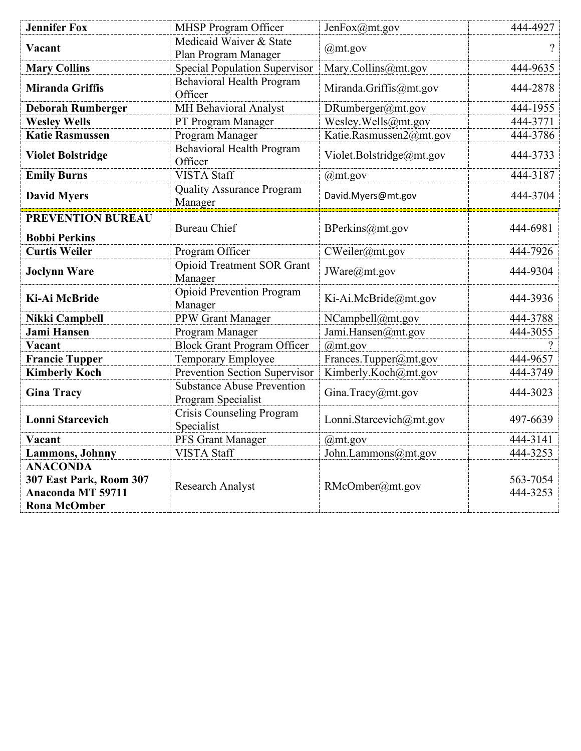| <b>Jennifer Fox</b>                                                                           | <b>MHSP Program Officer</b>                             | JenFox@mt.gov            | 444-4927             |
|-----------------------------------------------------------------------------------------------|---------------------------------------------------------|--------------------------|----------------------|
| Vacant                                                                                        | Medicaid Waiver & State<br>Plan Program Manager         | @mt.gov                  | ?                    |
| <b>Mary Collins</b>                                                                           | <b>Special Population Supervisor</b>                    | Mary.Collins@mt.gov      | 444-9635             |
| <b>Miranda Griffis</b>                                                                        | <b>Behavioral Health Program</b><br>Officer             | Miranda.Griffis@mt.gov   | 444-2878             |
| <b>Deborah Rumberger</b>                                                                      | MH Behavioral Analyst                                   | DRumberger@mt.gov        | 444-1955             |
| <b>Wesley Wells</b>                                                                           | PT Program Manager                                      | Wesley.Wells@mt.gov      | 444-3771             |
| <b>Katie Rasmussen</b>                                                                        | Program Manager                                         | Katie.Rasmussen2@mt.gov  | 444-3786             |
| <b>Violet Bolstridge</b>                                                                      | <b>Behavioral Health Program</b><br>Officer             | Violet.Bolstridge@mt.gov | 444-3733             |
| <b>Emily Burns</b>                                                                            | <b>VISTA Staff</b>                                      | $@$ mt.gov               | 444-3187             |
| <b>David Myers</b>                                                                            | <b>Quality Assurance Program</b><br>Manager             | David.Myers@mt.gov       | 444-3704             |
| <b>PREVENTION BUREAU</b><br><b>Bobbi Perkins</b>                                              | <b>Bureau Chief</b>                                     | BPerkins@mt.gov          | 444-6981             |
| <b>Curtis Weiler</b>                                                                          | Program Officer                                         | CWeiler@mt.gov           | 444-7926             |
| <b>Joclynn Ware</b>                                                                           | <b>Opioid Treatment SOR Grant</b><br>Manager            | JWare@mt.gov             | 444-9304             |
| <b>Ki-Ai McBride</b>                                                                          | <b>Opioid Prevention Program</b><br>Manager             | Ki-Ai.McBride@mt.gov     | 444-3936             |
| Nikki Campbell                                                                                | PPW Grant Manager                                       | NCampbell@mt.gov         | 444-3788             |
| <b>Jami Hansen</b>                                                                            | Program Manager                                         | Jami.Hansen@mt.gov       | 444-3055             |
| Vacant                                                                                        | <b>Block Grant Program Officer</b>                      | $@$ mt.gov               |                      |
| <b>Francie Tupper</b>                                                                         | Temporary Employee                                      | Frances.Tupper@mt.gov    | 444-9657             |
| <b>Kimberly Koch</b>                                                                          | Prevention Section Supervisor                           | Kimberly.Koch@mt.gov     | 444-3749             |
| <b>Gina Tracy</b>                                                                             | <b>Substance Abuse Prevention</b><br>Program Specialist | Gina.Tracy@mt.gov        | 444-3023             |
| <b>Lonni Starcevich</b>                                                                       | Crisis Counseling Program<br>Specialist                 | Lonni.Starcevich@mt.gov  | 497-6639             |
| Vacant                                                                                        | PFS Grant Manager                                       | $@m$ t.gov               | 444-3141             |
| <b>Lammons</b> , <b>Johnny</b>                                                                | <b>VISTA Staff</b>                                      | John.Lammons@mt.gov      | 444-3253             |
| <b>ANACONDA</b><br>307 East Park, Room 307<br><b>Anaconda MT 59711</b><br><b>Rona McOmber</b> | Research Analyst                                        | RMcOmber@mt.gov          | 563-7054<br>444-3253 |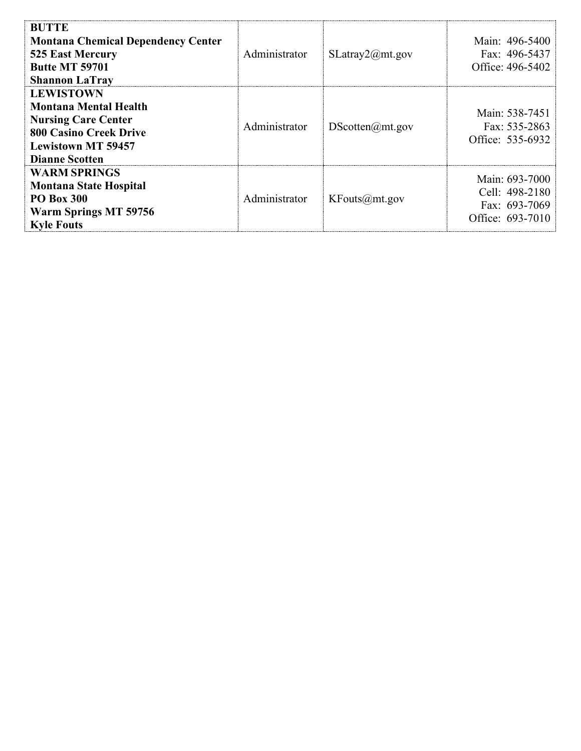| <b>BUTTE</b><br><b>Montana Chemical Dependency Center</b><br>525 East Mercury<br><b>Butte MT 59701</b><br><b>Shannon LaTray</b>                                       | Administrator | SLatray2@mt.gov | Main: 496-5400<br>Fax: 496-5437<br>Office: 496-5402                   |
|-----------------------------------------------------------------------------------------------------------------------------------------------------------------------|---------------|-----------------|-----------------------------------------------------------------------|
| <b>LEWISTOWN</b><br><b>Montana Mental Health</b><br><b>Nursing Care Center</b><br><b>800 Casino Creek Drive</b><br><b>Lewistown MT 59457</b><br><b>Dianne Scotten</b> | Administrator | DScotten@mt.gov | Main: 538-7451<br>Fax: 535-2863<br>Office: 535-6932                   |
| <b>WARM SPRINGS</b><br><b>Montana State Hospital</b><br><b>PO Box 300</b><br>Warm Springs MT 59756<br><b>Kyle Fouts</b>                                               | Administrator | KFouts@mt.gov   | Main: 693-7000<br>Cell: 498-2180<br>Fax: 693-7069<br>Office: 693-7010 |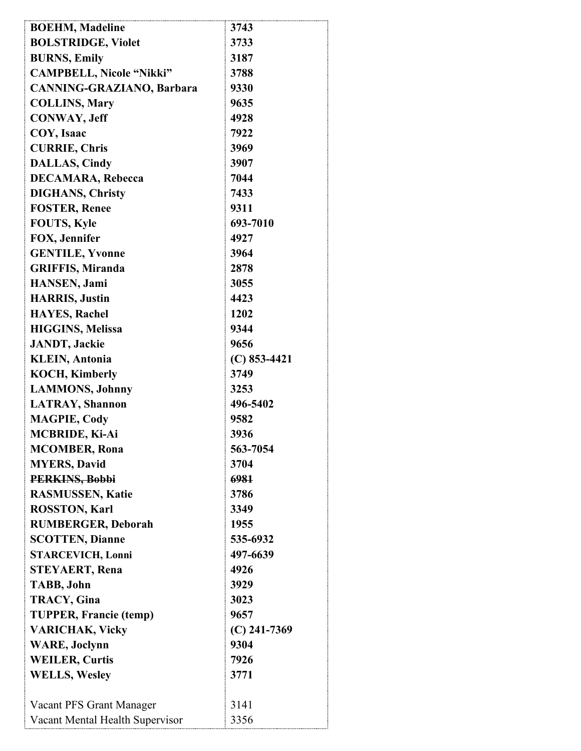| <b>BOEHM, Madeline</b>           | 3743           |
|----------------------------------|----------------|
| <b>BOLSTRIDGE, Violet</b>        | 3733           |
| <b>BURNS, Emily</b>              | 3187           |
| <b>CAMPBELL, Nicole "Nikki"</b>  | 3788           |
| <b>CANNING-GRAZIANO, Barbara</b> | 9330           |
| <b>COLLINS, Mary</b>             | 9635           |
| <b>CONWAY, Jeff</b>              | 4928           |
| COY, Isaac                       | 7922           |
| <b>CURRIE, Chris</b>             | 3969           |
| <b>DALLAS, Cindy</b>             | 3907           |
| <b>DECAMARA, Rebecca</b>         | 7044           |
| <b>DIGHANS, Christy</b>          | 7433           |
| <b>FOSTER, Renee</b>             | 9311           |
| <b>FOUTS, Kyle</b>               | 693-7010       |
| FOX, Jennifer                    | 4927           |
| <b>GENTILE, Yvonne</b>           | 3964           |
| <b>GRIFFIS, Miranda</b>          | 2878           |
| <b>HANSEN</b> , Jami             | 3055           |
| <b>HARRIS</b> , Justin           | 4423           |
| <b>HAYES, Rachel</b>             | 1202           |
| <b>HIGGINS, Melissa</b>          | 9344           |
| <b>JANDT</b> , Jackie            | 9656           |
| <b>KLEIN</b> , Antonia           | $(C)$ 853-4421 |
| <b>KOCH, Kimberly</b>            | 3749           |
| <b>LAMMONS</b> , Johnny          | 3253           |
| <b>LATRAY, Shannon</b>           | 496-5402       |
| <b>MAGPIE, Cody</b>              | 9582           |
| <b>MCBRIDE, Ki-Ai</b>            | 3936           |
| <b>MCOMBER, Rona</b>             | 563-7054       |
| <b>MYERS, David</b>              | 3704           |
| PERKINS, Bobbi                   | 6981           |
| <b>RASMUSSEN, Katie</b>          | 3786           |
| <b>ROSSTON, Karl</b>             | 3349           |
| <b>RUMBERGER, Deborah</b>        | 1955           |
| <b>SCOTTEN, Dianne</b>           | 535-6932       |
| <b>STARCEVICH, Lonni</b>         | 497-6639       |
| <b>STEYAERT, Rena</b>            | 4926           |
|                                  | 3929           |
| <b>TABB, John</b>                |                |
| <b>TRACY, Gina</b>               | 3023           |
| <b>TUPPER, Francie (temp)</b>    | 9657           |
| <b>VARICHAK, Vicky</b>           | $(C)$ 241-7369 |
| <b>WARE, Joclynn</b>             | 9304           |
| <b>WEILER, Curtis</b>            | 7926           |
| <b>WELLS, Wesley</b>             | 3771           |
|                                  |                |
| Vacant PFS Grant Manager         | 3141           |
| Vacant Mental Health Supervisor  | 3356           |